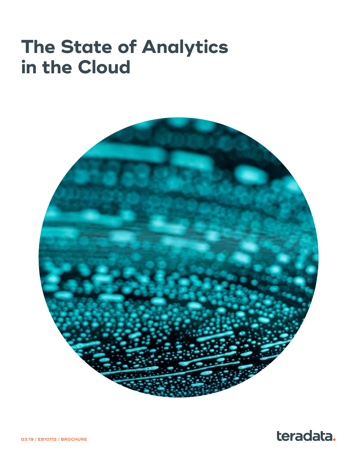# **The State of Analytics in the Cloud**



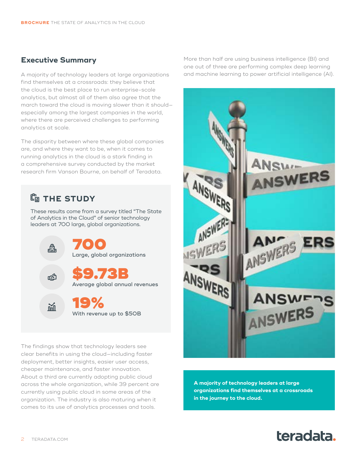### **Executive Summary**

A majority of technology leaders at large organizations find themselves at a crossroads: they believe that the cloud is the best place to run enterprise-scale analytics, but almost all of them also agree that the march toward the cloud is moving slower than it should especially among the largest companies in the world, where there are perceived challenges to performing analytics at scale.

The disparity between where these global companies are, and where they want to be, when it comes to running analytics in the cloud is a stark finding in a comprehensive survey conducted by the market research firm Vanson Bourne, on behalf of Teradata.

### **THE STUDY**

These results come from a survey titled "The State of Analytics in the Cloud" of senior technology leaders at 700 large, global organizations.



The findings show that technology leaders see clear benefits in using the cloud—including faster deployment, better insights, easier user access, cheaper maintenance, and faster innovation. About a third are currently adopting public cloud across the whole organization, while 39 percent are currently using public cloud in some areas of the organization. The industry is also maturing when it comes to its use of analytics processes and tools.

More than half are using business intelligence (BI) and one out of three are performing complex deep learning and machine learning to power artificial intelligence (AI).



**A majority of technology leaders at large organizations find themselves at a crossroads in the journey to the cloud.**

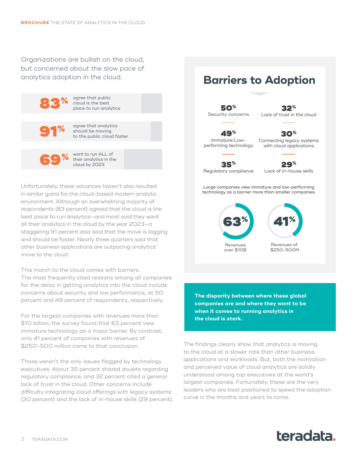Organizations are bullish on the cloud, but concerned about the slow pace of analytics adoption in the cloud.



Unfortunately, these advances haven't also resulted in similar gains for the cloud-based modern analytic environment. Although an overwhelming majority of respondents (83 percent) agreed that the cloud is the best place to run analytics—and most said they want all their analytics in the cloud by the year 2023—a staggering 91 percent also said that the move is lagging and should be faster. Nearly three quarters said that other business applications are outpacing analytics' move to the cloud.

This march to the cloud comes with barriers. The most frequently cited reasons among all companies for the delay in getting analytics into the cloud include concerns about security and low performance, at 50 percent and 49 percent of respondents, respectively.

For the largest companies with revenues more than \$10 billion, the survey found that 63 percent view immature technology as a major barrier. By contrast, only 41 percent of companies with revenues of \$250-500 million came to that conclusion.

Those weren't the only issues flagged by technology executives. About 35 percent shared doubts regarding regulatory compliance, and 32 percent cited a general lack of trust in the cloud. Other concerns include difficulty integrating cloud offerings with legacy systems (30 percent) and the lack of in-house skills (29 percent).

## **Barriers to Adoption**

50% Security concerns

Lack of trust in the cloud 30%

32%

49% Immature/Lowperforming technology

Connecting legacy systems with cloud applications

35% Regulatory compliance

29% Lack of in-house skills

Large companies view immature and low-performing technology as a barrier more than smaller companies.



**The disparity between where these global companies are and where they want to be when it comes to running analytics in the cloud is stark.**

The findings clearly show that analytics is moving to the cloud at a slower rate than other business applications and workloads. But, both the motivation and perceived value of cloud analytics are solidly understood among top executives at the world's largest companies. Fortunately, these are the very leaders who are best positioned to speed the adoption curve in the months and years to come.